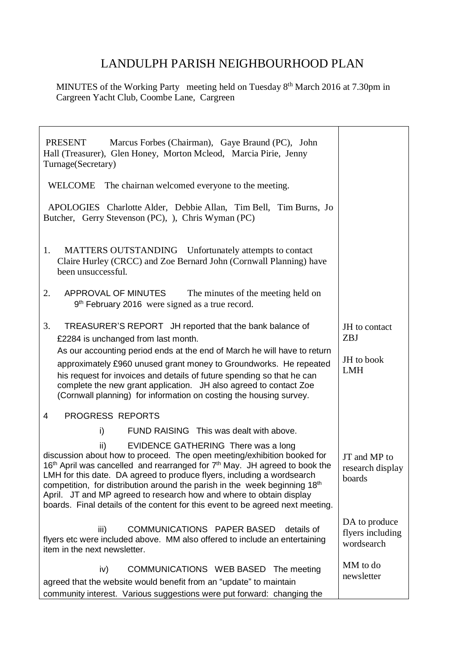## LANDULPH PARISH NEIGHBOURHOOD PLAN

MINUTES of the Working Party meeting held on Tuesday 8<sup>th</sup> March 2016 at 7.30pm in Cargreen Yacht Club, Coombe Lane, Cargreen

| <b>PRESENT</b><br>Marcus Forbes (Chairman), Gaye Braund (PC), John<br>Hall (Treasurer), Glen Honey, Morton Mcleod, Marcia Pirie, Jenny<br>Turnage(Secretary)                                                                                                                                                                                                                                                                                                                                                                                 |                                                 |
|----------------------------------------------------------------------------------------------------------------------------------------------------------------------------------------------------------------------------------------------------------------------------------------------------------------------------------------------------------------------------------------------------------------------------------------------------------------------------------------------------------------------------------------------|-------------------------------------------------|
| WELCOME The chairnan welcomed everyone to the meeting.                                                                                                                                                                                                                                                                                                                                                                                                                                                                                       |                                                 |
| APOLOGIES Charlotte Alder, Debbie Allan, Tim Bell, Tim Burns, Jo<br>Butcher, Gerry Stevenson (PC), ), Chris Wyman (PC)                                                                                                                                                                                                                                                                                                                                                                                                                       |                                                 |
| MATTERS OUTSTANDING Unfortunately attempts to contact<br>1.<br>Claire Hurley (CRCC) and Zoe Bernard John (Cornwall Planning) have<br>been unsuccessful.                                                                                                                                                                                                                                                                                                                                                                                      |                                                 |
| 2.<br>APPROVAL OF MINUTES<br>The minutes of the meeting held on<br>9 <sup>th</sup> February 2016 were signed as a true record.                                                                                                                                                                                                                                                                                                                                                                                                               |                                                 |
| 3.<br>TREASURER'S REPORT JH reported that the bank balance of<br>£2284 is unchanged from last month.                                                                                                                                                                                                                                                                                                                                                                                                                                         | JH to contact<br>ZBJ                            |
| As our accounting period ends at the end of March he will have to return<br>approximately £960 unused grant money to Groundworks. He repeated<br>his request for invoices and details of future spending so that he can<br>complete the new grant application. JH also agreed to contact Zoe<br>(Cornwall planning) for information on costing the housing survey.                                                                                                                                                                           | JH to book<br><b>LMH</b>                        |
| <b>PROGRESS REPORTS</b><br>4                                                                                                                                                                                                                                                                                                                                                                                                                                                                                                                 |                                                 |
| i)<br>FUND RAISING This was dealt with above.                                                                                                                                                                                                                                                                                                                                                                                                                                                                                                |                                                 |
| EVIDENCE GATHERING There was a long<br>ii)<br>discussion about how to proceed. The open meeting/exhibition booked for<br>16 <sup>th</sup> April was cancelled and rearranged for 7 <sup>th</sup> May. JH agreed to book the<br>LMH for this date. DA agreed to produce flyers, including a wordsearch<br>competition, for distribution around the parish in the week beginning 18th<br>April. JT and MP agreed to research how and where to obtain display<br>boards. Final details of the content for this event to be agreed next meeting. | JT and MP to<br>research display<br>boards      |
| COMMUNICATIONS PAPER BASED<br>details of<br>iii)<br>flyers etc were included above. MM also offered to include an entertaining<br>item in the next newsletter.                                                                                                                                                                                                                                                                                                                                                                               | DA to produce<br>flyers including<br>wordsearch |
| iv)<br>COMMUNICATIONS WEB BASED The meeting<br>agreed that the website would benefit from an "update" to maintain<br>community interest. Various suggestions were put forward: changing the                                                                                                                                                                                                                                                                                                                                                  | MM to do<br>newsletter                          |